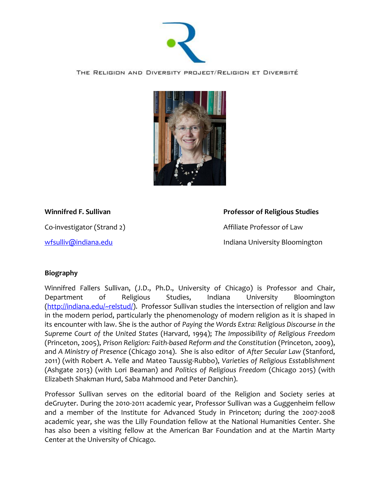

## THE RELIGION AND DIVERSITY PROJECT/RELIGION ET DIVERSITÉ



## **Winnifred F. Sullivan Professor** of Religious Studies

[wfsulliv@indiana.edu](mailto:wfsulliv@indiana.edu) **Indiana** University Bloomington

Co-investigator (Strand 2) and a set of the Affiliate Professor of Law

## **Biography**

Winnifred Fallers Sullivan, (J.D., Ph.D., University of Chicago) is Professor and Chair, Department of Religious Studies, Indiana University Bloomington [\(http://indiana.edu/~relstud/\)](http://indiana.edu/~relstud/). Professor Sullivan studies the intersection of religion and law in the modern period, particularly the phenomenology of modern religion as it is shaped in its encounter with law. She is the author of *Paying the Words Extra: Religious Discourse in the Supreme Court of the United States* (Harvard, 1994); *The Impossibility of Religious Freedom* (Princeton, 2005), *Prison Religion: Faith-based Reform and the Constitution* (Princeton, 2009), and *A Ministry of Presence* (Chicago 2014). She is also editor of *After Secular Law* (Stanford, 2011) (with Robert A. Yelle and Mateo Taussig-Rubbo), *Varieties of Religious Esstablishment* (Ashgate 2013) (with Lori Beaman) and *Politics of Religious Freedom* (Chicago 2015) (with Elizabeth Shakman Hurd, Saba Mahmood and Peter Danchin).

Professor Sullivan serves on the editorial board of the Religion and Society series at deGruyter. During the 2010-2011 academic year, Professor Sullivan was a Guggenheim fellow and a member of the Institute for Advanced Study in Princeton; during the 2007-2008 academic year, she was the Lilly Foundation fellow at the National Humanities Center. She has also been a visiting fellow at the American Bar Foundation and at the Martin Marty Center at the University of Chicago.